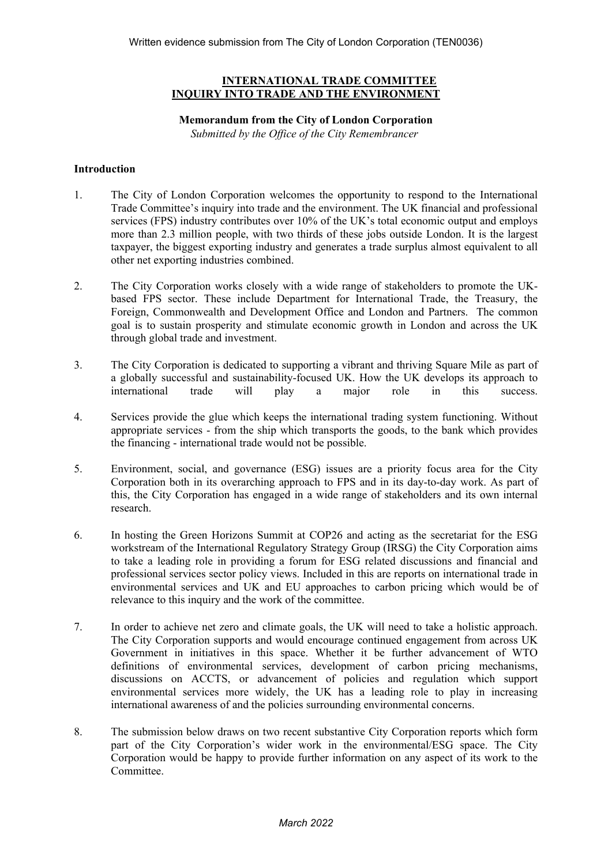# **INTERNATIONAL TRADE COMMITTEE INQUIRY INTO TRADE AND THE ENVIRONMENT**

# **Memorandum from the City of London Corporation**

*Submitted by the Office of the City Remembrancer*

### **Introduction**

- 1. The City of London Corporation welcomes the opportunity to respond to the International Trade Committee's inquiry into trade and the environment. The UK financial and professional services (FPS) industry contributes over 10% of the UK's total economic output and employs more than 2.3 million people, with two thirds of these jobs outside London. It is the largest taxpayer, the biggest exporting industry and generates a trade surplus almost equivalent to all other net exporting industries combined.
- 2. The City Corporation works closely with a wide range of stakeholders to promote the UKbased FPS sector. These include Department for International Trade, the Treasury, the Foreign, Commonwealth and Development Office and London and Partners. The common goal is to sustain prosperity and stimulate economic growth in London and across the UK through global trade and investment.
- 3. The City Corporation is dedicated to supporting a vibrant and thriving Square Mile as part of a globally successful and sustainability-focused UK. How the UK develops its approach to international trade will play a major role in this success.
- 4. Services provide the glue which keeps the international trading system functioning. Without appropriate services - from the ship which transports the goods, to the bank which provides the financing - international trade would not be possible.
- 5. Environment, social, and governance (ESG) issues are a priority focus area for the City Corporation both in its overarching approach to FPS and in its day-to-day work. As part of this, the City Corporation has engaged in a wide range of stakeholders and its own internal research.
- 6. In hosting the Green Horizons Summit at COP26 and acting as the secretariat for the ESG workstream of the International Regulatory Strategy Group (IRSG) the City Corporation aims to take a leading role in providing a forum for ESG related discussions and financial and professional services sector policy views. Included in this are reports on international trade in environmental services and UK and EU approaches to carbon pricing which would be of relevance to this inquiry and the work of the committee.
- 7. In order to achieve net zero and climate goals, the UK will need to take a holistic approach. The City Corporation supports and would encourage continued engagement from across UK Government in initiatives in this space. Whether it be further advancement of WTO definitions of environmental services, development of carbon pricing mechanisms, discussions on ACCTS, or advancement of policies and regulation which support environmental services more widely, the UK has a leading role to play in increasing international awareness of and the policies surrounding environmental concerns.
- 8. The submission below draws on two recent substantive City Corporation reports which form part of the City Corporation's wider work in the environmental/ESG space. The City Corporation would be happy to provide further information on any aspect of its work to the Committee.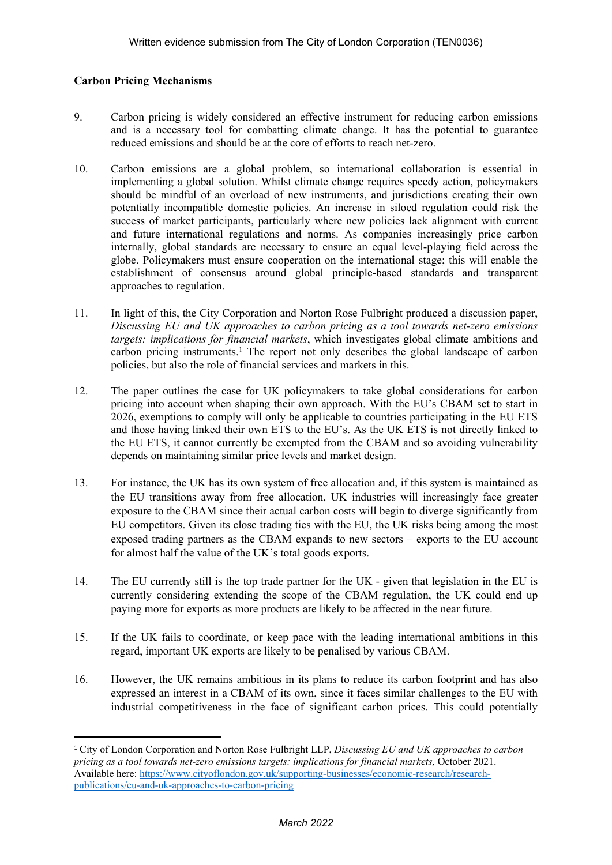# **Carbon Pricing Mechanisms**

- 9. Carbon pricing is widely considered an effective instrument for reducing carbon emissions and is a necessary tool for combatting climate change. It has the potential to guarantee reduced emissions and should be at the core of efforts to reach net-zero.
- 10. Carbon emissions are a global problem, so international collaboration is essential in implementing a global solution. Whilst climate change requires speedy action, policymakers should be mindful of an overload of new instruments, and jurisdictions creating their own potentially incompatible domestic policies. An increase in siloed regulation could risk the success of market participants, particularly where new policies lack alignment with current and future international regulations and norms. As companies increasingly price carbon internally, global standards are necessary to ensure an equal level-playing field across the globe. Policymakers must ensure cooperation on the international stage; this will enable the establishment of consensus around global principle-based standards and transparent approaches to regulation.
- 11. In light of this, the City Corporation and Norton Rose Fulbright produced a discussion paper, *Discussing EU and UK approaches to carbon pricing as a tool towards net-zero emissions targets: implications for financial markets*, which investigates global climate ambitions and carbon pricing instruments.<sup>1</sup> The report not only describes the global landscape of carbon policies, but also the role of financial services and markets in this.
- 12. The paper outlines the case for UK policymakers to take global considerations for carbon pricing into account when shaping their own approach. With the EU's CBAM set to start in 2026, exemptions to comply will only be applicable to countries participating in the EU ETS and those having linked their own ETS to the EU's. As the UK ETS is not directly linked to the EU ETS, it cannot currently be exempted from the CBAM and so avoiding vulnerability depends on maintaining similar price levels and market design.
- 13. For instance, the UK has its own system of free allocation and, if this system is maintained as the EU transitions away from free allocation, UK industries will increasingly face greater exposure to the CBAM since their actual carbon costs will begin to diverge significantly from EU competitors. Given its close trading ties with the EU, the UK risks being among the most exposed trading partners as the CBAM expands to new sectors – exports to the EU account for almost half the value of the UK's total goods exports.
- 14. The EU currently still is the top trade partner for the UK given that legislation in the EU is currently considering extending the scope of the CBAM regulation, the UK could end up paying more for exports as more products are likely to be affected in the near future.
- 15. If the UK fails to coordinate, or keep pace with the leading international ambitions in this regard, important UK exports are likely to be penalised by various CBAM.
- 16. However, the UK remains ambitious in its plans to reduce its carbon footprint and has also expressed an interest in a CBAM of its own, since it faces similar challenges to the EU with industrial competitiveness in the face of significant carbon prices. This could potentially

<sup>1</sup> City of London Corporation and Norton Rose Fulbright LLP, *Discussing EU and UK approaches to carbon pricing as a tool towards net-zero emissions targets: implications for financial markets,* October 2021. Available here: [https://www.cityoflondon.gov.uk/supporting-businesses/economic-research/research](https://www.cityoflondon.gov.uk/supporting-businesses/economic-research/research-publications/eu-and-uk-approaches-to-carbon-pricing)[publications/eu-and-uk-approaches-to-carbon-pricing](https://www.cityoflondon.gov.uk/supporting-businesses/economic-research/research-publications/eu-and-uk-approaches-to-carbon-pricing)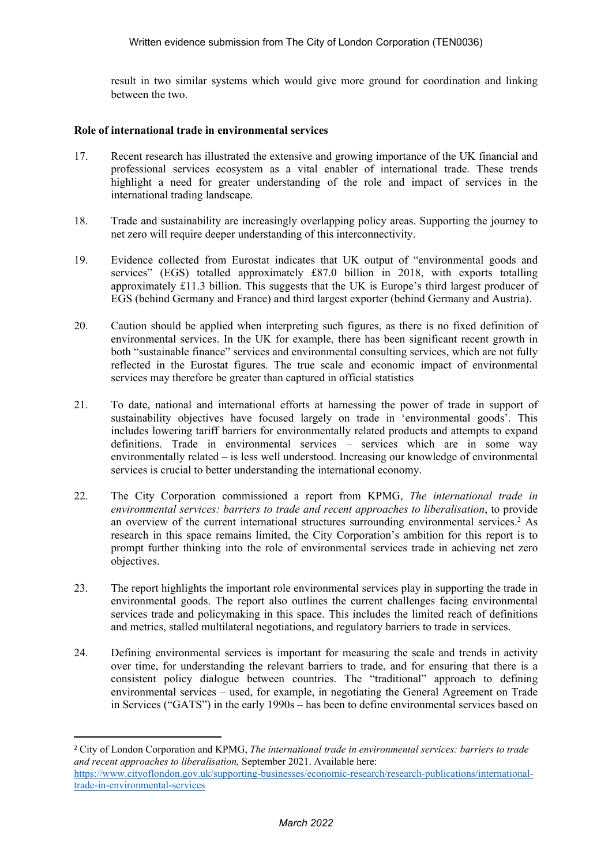result in two similar systems which would give more ground for coordination and linking between the two.

#### **Role of international trade in environmental services**

- 17. Recent research has illustrated the extensive and growing importance of the UK financial and professional services ecosystem as a vital enabler of international trade. These trends highlight a need for greater understanding of the role and impact of services in the international trading landscape.
- 18. Trade and sustainability are increasingly overlapping policy areas. Supporting the journey to net zero will require deeper understanding of this interconnectivity.
- 19. Evidence collected from Eurostat indicates that UK output of "environmental goods and services" (EGS) totalled approximately £87.0 billion in 2018, with exports totalling approximately £11.3 billion. This suggests that the UK is Europe's third largest producer of EGS (behind Germany and France) and third largest exporter (behind Germany and Austria).
- 20. Caution should be applied when interpreting such figures, as there is no fixed definition of environmental services. In the UK for example, there has been significant recent growth in both "sustainable finance" services and environmental consulting services, which are not fully reflected in the Eurostat figures. The true scale and economic impact of environmental services may therefore be greater than captured in official statistics
- 21. To date, national and international efforts at harnessing the power of trade in support of sustainability objectives have focused largely on trade in 'environmental goods'. This includes lowering tariff barriers for environmentally related products and attempts to expand definitions. Trade in environmental services – services which are in some way environmentally related – is less well understood. Increasing our knowledge of environmental services is crucial to better understanding the international economy.
- 22. The City Corporation commissioned a report from KPMG, *The international trade in environmental services: barriers to trade and recent approaches to liberalisation*, to provide an overview of the current international structures surrounding environmental services.<sup>2</sup> As research in this space remains limited, the City Corporation's ambition for this report is to prompt further thinking into the role of environmental services trade in achieving net zero objectives.
- 23. The report highlights the important role environmental services play in supporting the trade in environmental goods. The report also outlines the current challenges facing environmental services trade and policymaking in this space. This includes the limited reach of definitions and metrics, stalled multilateral negotiations, and regulatory barriers to trade in services.
- 24. Defining environmental services is important for measuring the scale and trends in activity over time, for understanding the relevant barriers to trade, and for ensuring that there is a consistent policy dialogue between countries. The "traditional" approach to defining environmental services – used, for example, in negotiating the General Agreement on Trade in Services ("GATS") in the early 1990s – has been to define environmental services based on

<sup>2</sup> City of London Corporation and KPMG, *The international trade in environmental services: barriers to trade and recent approaches to liberalisation,* September 2021. Available here:

[https://www.cityoflondon.gov.uk/supporting-businesses/economic-research/research-publications/international](https://www.cityoflondon.gov.uk/supporting-businesses/economic-research/research-publications/international-trade-in-environmental-services)[trade-in-environmental-services](https://www.cityoflondon.gov.uk/supporting-businesses/economic-research/research-publications/international-trade-in-environmental-services)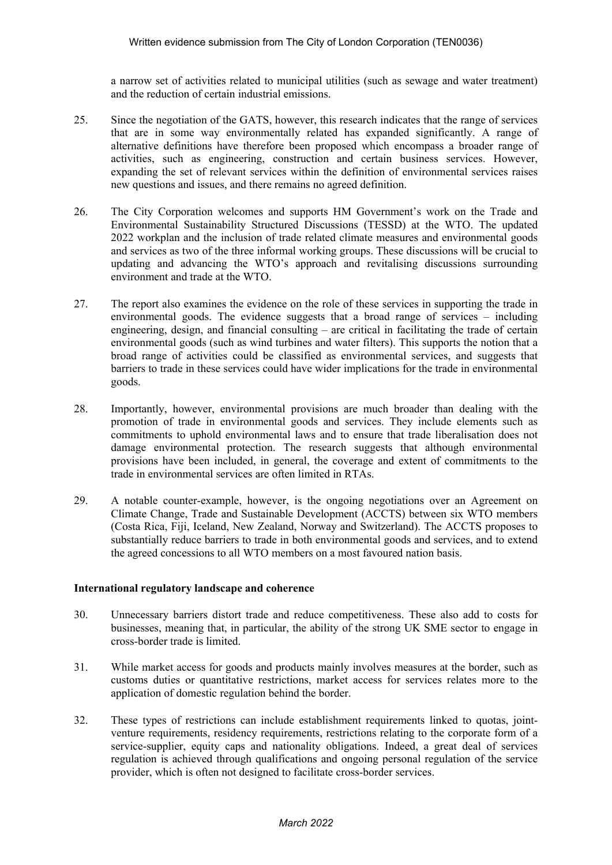a narrow set of activities related to municipal utilities (such as sewage and water treatment) and the reduction of certain industrial emissions.

- 25. Since the negotiation of the GATS, however, this research indicates that the range of services that are in some way environmentally related has expanded significantly. A range of alternative definitions have therefore been proposed which encompass a broader range of activities, such as engineering, construction and certain business services. However, expanding the set of relevant services within the definition of environmental services raises new questions and issues, and there remains no agreed definition.
- 26. The City Corporation welcomes and supports HM Government's work on the Trade and Environmental Sustainability Structured Discussions (TESSD) at the WTO. The updated 2022 workplan and the inclusion of trade related climate measures and environmental goods and services as two of the three informal working groups. These discussions will be crucial to updating and advancing the WTO's approach and revitalising discussions surrounding environment and trade at the WTO.
- 27. The report also examines the evidence on the role of these services in supporting the trade in environmental goods. The evidence suggests that a broad range of services – including engineering, design, and financial consulting – are critical in facilitating the trade of certain environmental goods (such as wind turbines and water filters). This supports the notion that a broad range of activities could be classified as environmental services, and suggests that barriers to trade in these services could have wider implications for the trade in environmental goods.
- 28. Importantly, however, environmental provisions are much broader than dealing with the promotion of trade in environmental goods and services. They include elements such as commitments to uphold environmental laws and to ensure that trade liberalisation does not damage environmental protection. The research suggests that although environmental provisions have been included, in general, the coverage and extent of commitments to the trade in environmental services are often limited in RTAs.
- 29. A notable counter-example, however, is the ongoing negotiations over an Agreement on Climate Change, Trade and Sustainable Development (ACCTS) between six WTO members (Costa Rica, Fiji, Iceland, New Zealand, Norway and Switzerland). The ACCTS proposes to substantially reduce barriers to trade in both environmental goods and services, and to extend the agreed concessions to all WTO members on a most favoured nation basis.

#### **International regulatory landscape and coherence**

- 30. Unnecessary barriers distort trade and reduce competitiveness. These also add to costs for businesses, meaning that, in particular, the ability of the strong UK SME sector to engage in cross-border trade is limited.
- 31. While market access for goods and products mainly involves measures at the border, such as customs duties or quantitative restrictions, market access for services relates more to the application of domestic regulation behind the border.
- 32. These types of restrictions can include establishment requirements linked to quotas, jointventure requirements, residency requirements, restrictions relating to the corporate form of a service-supplier, equity caps and nationality obligations. Indeed, a great deal of services regulation is achieved through qualifications and ongoing personal regulation of the service provider, which is often not designed to facilitate cross-border services.